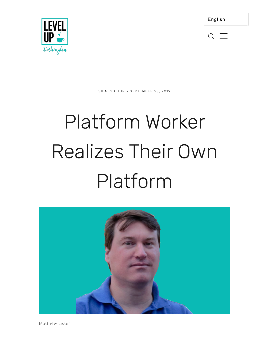



[SIDNEY](https://www.levelupwashington.org/up-feed?author=5c7591635e0ed85dfefb19cc) CHUN · SEPTEMBER 23, 2019

# Platform Worker Realizes Their Own Platform



Matthew Lister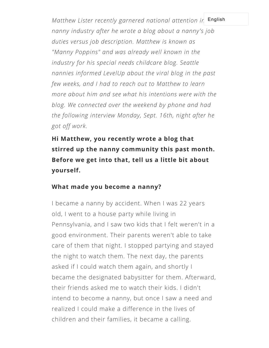*Matthew Lister recently garnered national attention in the* English*nanny industry after he wrote a blog about a nanny's job duties versus job description. Matthew is known as "Manny Poppins" and was already well known in the industry for his special needs childcare blog. Seattle nannies informed LevelUp about the viral blog in the past few weeks, and I had to reach out to Matthew to learn more about him and see what his intentions were with the blog. We connected over the weekend by phone and had the following interview Monday, Sept. 16th, night after he got off work.*

**Hi Matthew, you recently wrote a blog that stirred up the nanny community this past month. Before we get into that, tell us a little bit about yourself.**

#### **What made you become a nanny?**

I became a nanny by accident. When I was 22 years old, I went to a house party while living in Pennsylvania, and I saw two kids that I felt weren't in a good environment. Their parents weren't able to take care of them that night. I stopped partying and stayed the night to watch them. The next day, the parents asked if I could watch them again, and shortly I became the designated babysitter for them. Afterward, their friends asked me to watch their kids. I didn't intend to become a nanny, but once I saw a need and realized I could make a difference in the lives of children and their families, it became a calling.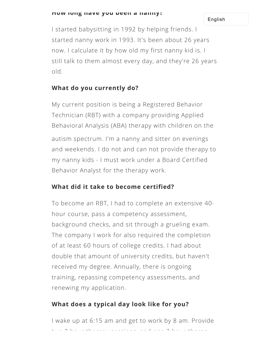I started babysitting in 1992 by helping friends. I started nanny work in 1993. It's been about 26 years now. I calculate it by how old my first nanny kid is. I still talk to them almost every day, and they're 26 years old.

#### **What do you currently do?**

My current position is being a Registered Behavior Technician (RBT) with a company providing Applied Behavioral Analysis (ABA) therapy with children on the

autism spectrum. I'm a nanny and sitter on evenings and weekends. I do not and can not provide therapy to my nanny kids - I must work under a Board Certified Behavior Analyst for the therapy work.

#### **What did it take to become certified?**

To become an RBT, I had to complete an extensive 40 hour course, pass a competency assessment, background checks, and sit through a grueling exam. The company I work for also required the completion of at least 60 hours of college credits. I had about double that amount of university credits, but haven't received my degree. Annually, there is ongoing training, repassing competency assessments, and renewing my application.

#### **What does a typical day look like for you?**

I wake up at 6:15 am and get to work by 8 am. Provide two 3 hour therapy sessions, and one 2 hour therapy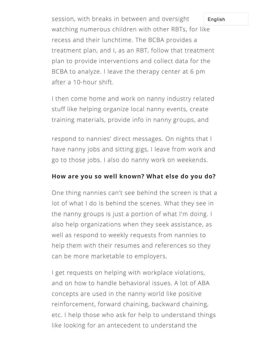session, with breaks in between and oversight watching numerous children with other RBTs, for like recess and their lunchtime. The BCBA provides a treatment plan, and I, as an RBT, follow that treatment plan to provide interventions and collect data for the BCBA to analyze. I leave the therapy center at 6 pm after a 10-hour shift. English

I then come home and work on nanny industry related stuff like helping organize local nanny events, create training materials, provide info in nanny groups, and

respond to nannies' direct messages. On nights that I have nanny jobs and sitting gigs, I leave from work and go to those jobs. I also do nanny work on weekends.

#### **How are you so well known? What else do you do?**

One thing nannies can't see behind the screen is that a lot of what I do is behind the scenes. What they see in the nanny groups is just a portion of what I'm doing. I also help organizations when they seek assistance, as well as respond to weekly requests from nannies to help them with their resumes and references so they can be more marketable to employers.

I get requests on helping with workplace violations, and on how to handle behavioral issues. A lot of ABA concepts are used in the nanny world like positive reinforcement, forward chaining, backward chaining, etc. I help those who ask for help to understand things like looking for an antecedent to understand the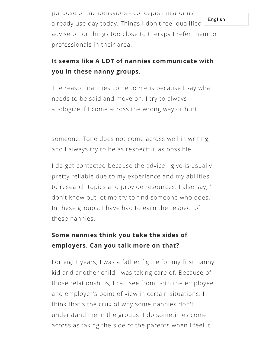purpose or the behaviors - concepts most or us already use day today. Things I don't feel qualified advise on or things too close to therapy I refer them to professionals in their area.

# **It seems like A LOT of nannies communicate with you in these nanny groups.**

The reason nannies come to me is because I say what needs to be said and move on. I try to always apologize if I come across the wrong way or hurt

someone. Tone does not come across well in writing, and I always try to be as respectful as possible.

I do get contacted because the advice I give is usually pretty reliable due to my experience and my abilities to research topics and provide resources. I also say, 'I don't know but let me try to find someone who does.' In these groups, I have had to earn the respect of these nannies.

# **Some nannies think you take the sides of employers. Can you talk more on that?**

For eight years, I was a father figure for my first nanny kid and another child I was taking care of. Because of those relationships, I can see from both the employee and employer's point of view in certain situations. I think that's the crux of why some nannies don't understand me in the groups. I do sometimes come across as taking the side of the parents when I feel it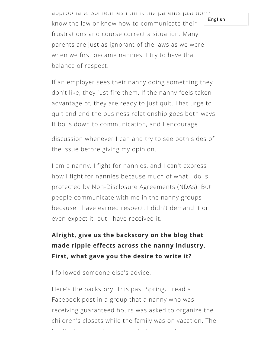appropriate. Sometimes I think the parents just do know the law or know how to communicate their frustrations and course correct a situation. Many parents are just as ignorant of the laws as we were when we first became nannies. I try to have that balance of respect.

English

If an employer sees their nanny doing something they don't like, they just fire them. If the nanny feels taken advantage of, they are ready to just quit. That urge to quit and end the business relationship goes both ways. It boils down to communication, and I encourage

discussion whenever I can and try to see both sides of the issue before giving my opinion.

I am a nanny. I fight for nannies, and I can't express how I fight for nannies because much of what I do is protected by Non-Disclosure Agreements (NDAs). But people communicate with me in the nanny groups because I have earned respect. I didn't demand it or even expect it, but I have received it.

# **Alright, give us the backstory on the blog that made ripple effects across the nanny industry. First, what gave you the desire to write it?**

I followed someone else's advice.

Here's the backstory. This past Spring, I read a Facebook post in a group that a nanny who was receiving guaranteed hours was asked to organize the children's closets while the family was on vacation. The family then asked the nanny to feed the dog once a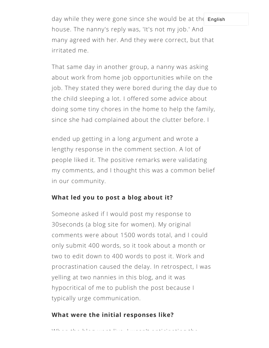day while they were gone since she would be at the English house. The nanny's reply was, 'It's not my job.' And many agreed with her. And they were correct, but that irritated me.

That same day in another group, a nanny was asking about work from home job opportunities while on the job. They stated they were bored during the day due to the child sleeping a lot. I offered some advice about doing some tiny chores in the home to help the family, since she had complained about the clutter before. I

ended up getting in a long argument and wrote a lengthy response in the comment section. A lot of people liked it. The positive remarks were validating my comments, and I thought this was a common belief in our community.

#### **What led you to post a blog about it?**

Someone asked if I would post my response to 30seconds (a blog site for women). My original comments were about 1500 words total, and I could only submit 400 words, so it took about a month or two to edit down to 400 words to post it. Work and procrastination caused the delay. In retrospect, I was yelling at two nannies in this blog, and it was hypocritical of me to publish the post because I typically urge communication.

#### **What were the initial responses like?**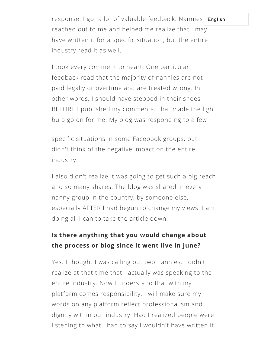response. I got a lot of valuable feedback. Nannies| **English** reached out to me and helped me realize that I may have written it for a specific situation, but the entire industry read it as well.

I took every comment to heart. One particular feedback read that the majority of nannies are not paid legally or overtime and are treated wrong. In other words, I should have stepped in their shoes BEFORE I published my comments. That made the light bulb go on for me. My blog was responding to a few

specific situations in some Facebook groups, but I didn't think of the negative impact on the entire industry.

I also didn't realize it was going to get such a big reach and so many shares. The blog was shared in every nanny group in the country, by someone else, especially AFTER I had begun to change my views. I am doing all I can to take the article down.

### **Is there anything that you would change about the process or blog since it went live in June?**

Yes. I thought I was calling out two nannies. I didn't realize at that time that I actually was speaking to the entire industry. Now I understand that with my platform comes responsibility. I will make sure my words on any platform reflect professionalism and dignity within our industry. Had I realized people were listening to what I had to say I wouldn't have written it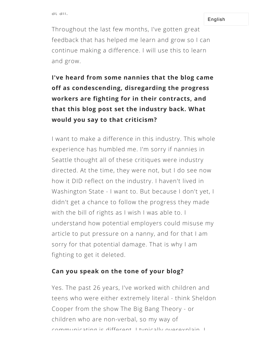Throughout the last few months, I've gotten great feedback that has helped me learn and grow so I can continue making a difference. I will use this to learn and grow.

**I've heard from some nannies that the blog came off as condescending, disregarding the progress workers are fighting for in their contracts, and that this blog post set the industry back. What would you say to that criticism?**

I want to make a difference in this industry. This whole experience has humbled me. I'm sorry if nannies in Seattle thought all of these critiques were industry directed. At the time, they were not, but I do see now how it DID reflect on the industry. I haven't lived in Washington State - I want to. But because I don't yet, I didn't get a chance to follow the progress they made with the bill of rights as I wish I was able to. I understand how potential employers could misuse my article to put pressure on a nanny, and for that I am sorry for that potential damage. That is why I am fighting to get it deleted.

#### **Can you speak on the tone of your blog?**

Yes. The past 26 years, I've worked with children and teens who were either extremely literal - think Sheldon Cooper from the show The Big Bang Theory - or children who are non-verbal, so my way of communicating is different. I typically overexplain. I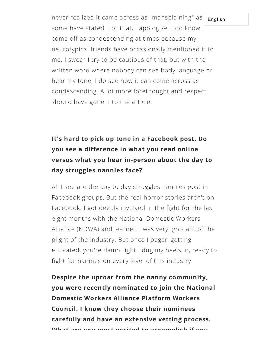never realized it came across as "mansplaining" as some have stated. For that, I apologize. I do know I come off as condescending at times because my neurotypical friends have occasionally mentioned it to me. I swear I try to be cautious of that, but with the written word where nobody can see body language or hear my tone, I do see how it can come across as condescending. A lot more forethought and respect should have gone into the article. English

# **It's hard to pick up tone in a Facebook post. Do you see a difference in what you read online versus what you hear in-person about the day to day struggles nannies face?**

All I see are the day to day struggles nannies post in Facebook groups. But the real horror stories aren't on Facebook. I got deeply involved in the fight for the last eight months with the National Domestic Workers Alliance (NDWA) and learned I was very ignorant of the plight of the industry. But once I began getting educated, you're damn right I dug my heels in, ready to fight for nannies on every level of this industry.

**Despite the uproar from the nanny community, you were recently nominated to join the National Domestic Workers Alliance Platform Workers Council. I know they choose their nominees carefully and have an extensive vetting process. What are you most excited to accomplish if you**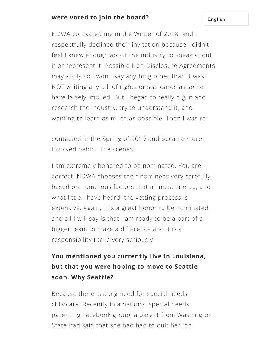#### **were voted to join the board?**

English

NDWA contacted me in the Winter of 2018, and I respectfully declined their invitation because I didn't feel I knew enough about the industry to speak about it or represent it. Possible Non-Disclosure Agreements may apply so I won't say anything other than it was NOT writing any bill of rights or standards as some have falsely implied. But I began to really dig in and research the industry, try to understand it, and wanting to learn as much as possible. Then I was re-

contacted in the Spring of 2019 and became more involved behind the scenes.

I am extremely honored to be nominated. You are correct. NDWA chooses their nominees very carefully based on numerous factors that all must line up, and what little I have heard, the vetting process is extensive. Again, it is a great honor to be nominated, and all I will say is that I am ready to be a part of a bigger team to make a difference and it is a responsibility I take very seriously.

# **You mentioned you currently live in Louisiana, but that you were hoping to move to Seattle soon. Why Seattle?**

Because there is a big need for special needs childcare. Recently in a national special needs parenting Facebook group, a parent from Washington State had said that she had had to quit her job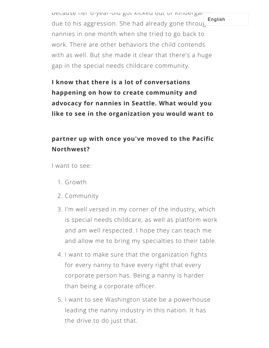because her 6-year-old got kicked out of Kindergar due to his aggression. She had already gone through nannies in one month when she tried to go back to work. There are other behaviors the child contends with as well. But she made it clear that there's a huge gap in the special needs childcare community.

**I know that there is a lot of conversations happening on how to create community and advocacy for nannies in Seattle. What would you like to see in the organization you would want to**

# **partner up with once you've moved to the Pacific Northwest?**

I want to see:

- 1. Growth
- 2. Community
- 3. I'm well versed in my corner of the industry, which is special needs childcare, as well as platform work and am well respected. I hope they can teach me and allow me to bring my specialties to their table.
- 4. I want to make sure that the organization fights for every nanny to have every right that every corporate person has. Being a nanny is harder than being a corporate officer.
- 5. I want to see Washington state be a powerhouse leading the nanny industry in this nation. It has the drive to do just that.

English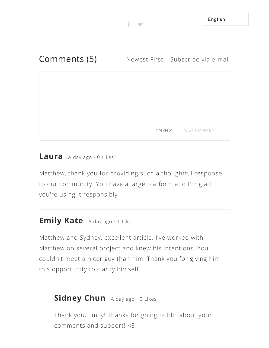# Comments (5) Newest First Subscribe via e-mail Preview POST COMMENT…

#### **Laura** <sup>A</sup> day ago · <sup>0</sup> Likes

Matthew, thank you for providing such a thoughtful response to our community. You have a large platform and I'm glad you're using it responsibly

# **Emily Kate** <sup>A</sup> day ago · <sup>1</sup> Like

Matthew and Sydney, excellent article. I've worked with Matthew on several project and knew his intentions. You couldn't meet a nicer guy than him. Thank you for giving him this opportunity to clarify himself.

# **Sidney Chun** <sup>A</sup> day ago · <sup>0</sup> Likes

Thank you, Emily! Thanks for going public about your comments and support! <3

 $f = \bullet$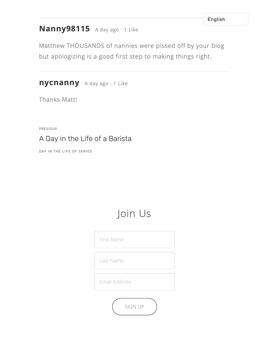# **Nanny98115** <sup>A</sup> day ago · <sup>1</sup> Like

Matthew THOUSANDS of nannies were pissed off by your blog but apologizing is a good first step to making things right.

**nycnanny** <sup>A</sup> day ago · <sup>1</sup> Like

Thanks Matt!

PREVIOUS

#### A Day in the Life of a [Barista](https://www.levelupwashington.org/up-feed/a-day-in-the-life-of-series-baristas)

DAY IN THE LIFE OF SERIES

# Join Us

First Name

Last Name

Email Address